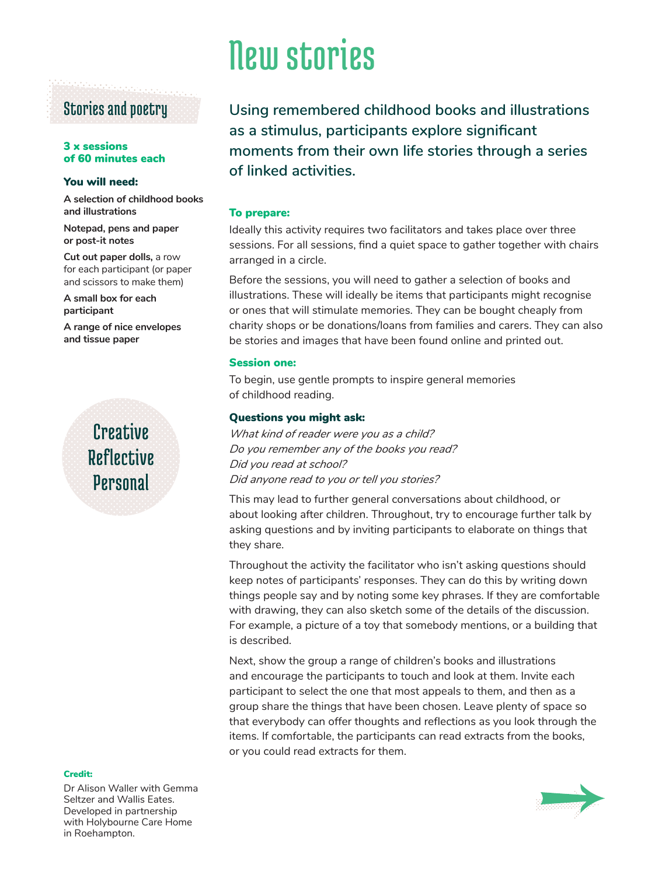### Stories and poetry

#### 3 x sessions of 60 minutes each

#### You will need:

**A selection of childhood books and illustrations**

**Notepad, pens and paper or post-it notes**

**Cut out paper dolls,** a row for each participant (or paper and scissors to make them)

**A small box for each participant** 

**A range of nice envelopes and tissue paper** 

## **Creative** Reflective **Personal**

#### Credit:

Dr Alison Waller with Gemma Seltzer and Wallis Eates. Developed in partnership with Holybourne Care Home in Roehampton.

# New stories

**Using remembered childhood books and illustrations as a stimulus, participants explore significant moments from their own life stories through a series of linked activities.**

#### To prepare:

Ideally this activity requires two facilitators and takes place over three sessions. For all sessions, find a quiet space to gather together with chairs arranged in a circle.

Before the sessions, you will need to gather a selection of books and illustrations. These will ideally be items that participants might recognise or ones that will stimulate memories. They can be bought cheaply from charity shops or be donations/loans from families and carers. They can also be stories and images that have been found online and printed out.

#### Session one:

To begin, use gentle prompts to inspire general memories of childhood reading.

#### Questions you might ask:

*What kind of reader were you as a child? Do you remember any of the books you read? Did you read at school? Did anyone read to you or tell you stories?*

This may lead to further general conversations about childhood, or about looking after children. Throughout, try to encourage further talk by asking questions and by inviting participants to elaborate on things that they share.

Throughout the activity the facilitator who isn't asking questions should keep notes of participants' responses. They can do this by writing down things people say and by noting some key phrases. If they are comfortable with drawing, they can also sketch some of the details of the discussion. For example, a picture of a toy that somebody mentions, or a building that is described.

Next, show the group a range of children's books and illustrations and encourage the participants to touch and look at them. Invite each participant to select the one that most appeals to them, and then as a group share the things that have been chosen. Leave plenty of space so that everybody can offer thoughts and reflections as you look through the items. If comfortable, the participants can read extracts from the books, or you could read extracts for them.